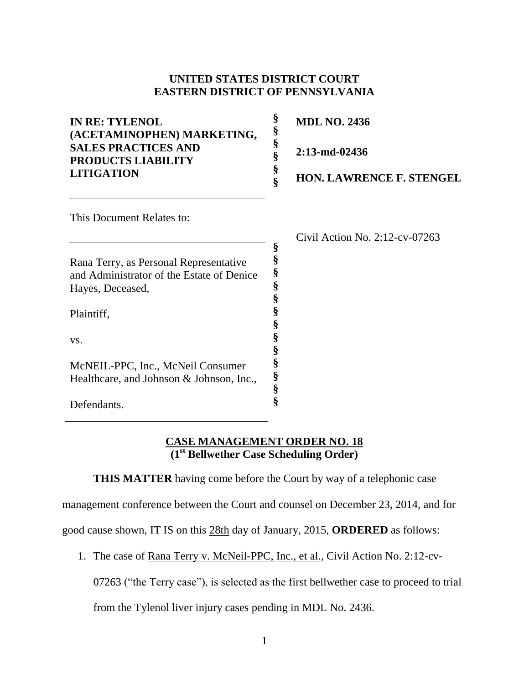## **UNITED STATES DISTRICT COURT EASTERN DISTRICT OF PENNSYLVANIA**

**§** 

| <b>IN RE: TYLENOL</b><br>(ACETAMINOPHEN) MARKETING,<br><b>SALES PRACTICES AND</b><br><b>PRODUCTS LIABILITY</b><br><b>LITIGATION</b> | 8 | <b>MDL NO. 2436</b><br>$2:13$ -md-02436<br><b>HON. LAWRENCE F. STENGEL</b> |
|-------------------------------------------------------------------------------------------------------------------------------------|---|----------------------------------------------------------------------------|
| This Document Relates to:                                                                                                           |   |                                                                            |
| Rana Terry, as Personal Representative                                                                                              | 8 | Civil Action No. $2:12$ -cv-07263                                          |

**§ § § § § § § § § § §**

and Administrator of the Estate of Denice

McNEIL-PPC, Inc., McNeil Consumer Healthcare, and Johnson & Johnson, Inc.,

Hayes, Deceased,

Plaintiff,

Defendants.

vs.

**CASE MANAGEMENT ORDER NO. 18 (1st Bellwether Case Scheduling Order)** 

**THIS MATTER** having come before the Court by way of a telephonic case

management conference between the Court and counsel on December 23, 2014, and for

good cause shown, IT IS on this 28th day of January, 2015, **ORDERED** as follows:

1. The case of Rana Terry v. McNeil-PPC, Inc., et al., Civil Action No. 2:12-cv-

07263 ("the Terry case"), is selected as the first bellwether case to proceed to trial

from the Tylenol liver injury cases pending in MDL No. 2436.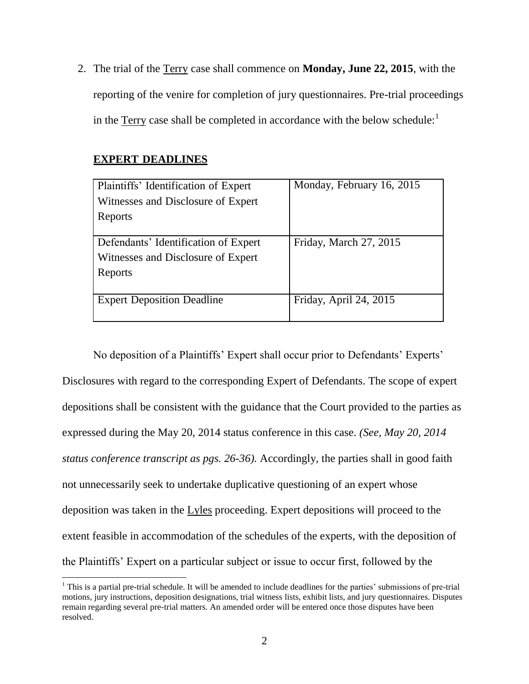2. The trial of the Terry case shall commence on **Monday, June 22, 2015**, with the reporting of the venire for completion of jury questionnaires. Pre-trial proceedings in the Terry case shall be completed in accordance with the below schedule: $<sup>1</sup>$ </sup>

## **EXPERT DEADLINES**

 $\overline{\phantom{a}}$ 

| Plaintiffs' Identification of Expert | Monday, February 16, 2015 |
|--------------------------------------|---------------------------|
| Witnesses and Disclosure of Expert   |                           |
| Reports                              |                           |
|                                      |                           |
| Defendants' Identification of Expert | Friday, March 27, 2015    |
| Witnesses and Disclosure of Expert   |                           |
| Reports                              |                           |
|                                      |                           |
| <b>Expert Deposition Deadline</b>    | Friday, April 24, 2015    |
|                                      |                           |

No deposition of a Plaintiffs' Expert shall occur prior to Defendants' Experts' Disclosures with regard to the corresponding Expert of Defendants. The scope of expert depositions shall be consistent with the guidance that the Court provided to the parties as expressed during the May 20, 2014 status conference in this case. *(See, May 20, 2014 status conference transcript as pgs. 26-36).* Accordingly, the parties shall in good faith not unnecessarily seek to undertake duplicative questioning of an expert whose deposition was taken in the Lyles proceeding. Expert depositions will proceed to the extent feasible in accommodation of the schedules of the experts, with the deposition of the Plaintiffs' Expert on a particular subject or issue to occur first, followed by the

 $<sup>1</sup>$  This is a partial pre-trial schedule. It will be amended to include deadlines for the parties' submissions of pre-trial</sup> motions, jury instructions, deposition designations, trial witness lists, exhibit lists, and jury questionnaires. Disputes remain regarding several pre-trial matters. An amended order will be entered once those disputes have been resolved.